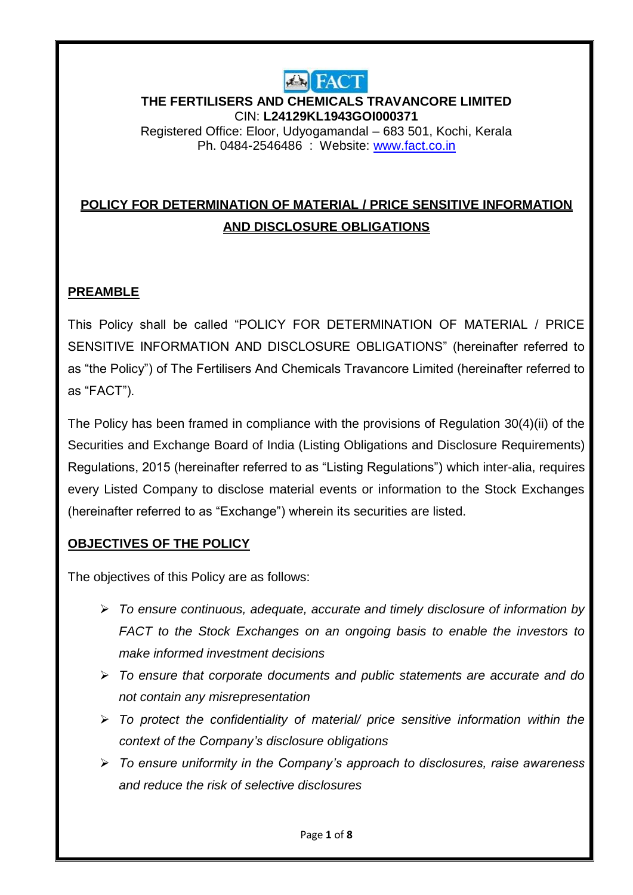

**THE FERTILISERS AND CHEMICALS TRAVANCORE LIMITED** CIN: **L24129KL1943GOI000371** Registered Office: Eloor, Udyogamandal – 683 501, Kochi, Kerala

Ph. 0484-2546486 : Website: [www.fact.co.in](http://www.fact.co.in/) 

# **POLICY FOR DETERMINATION OF MATERIAL / PRICE SENSITIVE INFORMATION AND DISCLOSURE OBLIGATIONS**

## **PREAMBLE**

This Policy shall be called "POLICY FOR DETERMINATION OF MATERIAL / PRICE SENSITIVE INFORMATION AND DISCLOSURE OBLIGATIONS" (hereinafter referred to as "the Policy") of The Fertilisers And Chemicals Travancore Limited (hereinafter referred to as "FACT").

The Policy has been framed in compliance with the provisions of Regulation 30(4)(ii) of the Securities and Exchange Board of India (Listing Obligations and Disclosure Requirements) Regulations, 2015 (hereinafter referred to as "Listing Regulations") which inter-alia, requires every Listed Company to disclose material events or information to the Stock Exchanges (hereinafter referred to as "Exchange") wherein its securities are listed.

#### **OBJECTIVES OF THE POLICY**

The objectives of this Policy are as follows:

- *To ensure continuous, adequate, accurate and timely disclosure of information by FACT to the Stock Exchanges on an ongoing basis to enable the investors to make informed investment decisions*
- *To ensure that corporate documents and public statements are accurate and do not contain any misrepresentation*
- *To protect the confidentiality of material/ price sensitive information within the context of the Company's disclosure obligations*
- *To ensure uniformity in the Company's approach to disclosures, raise awareness and reduce the risk of selective disclosures*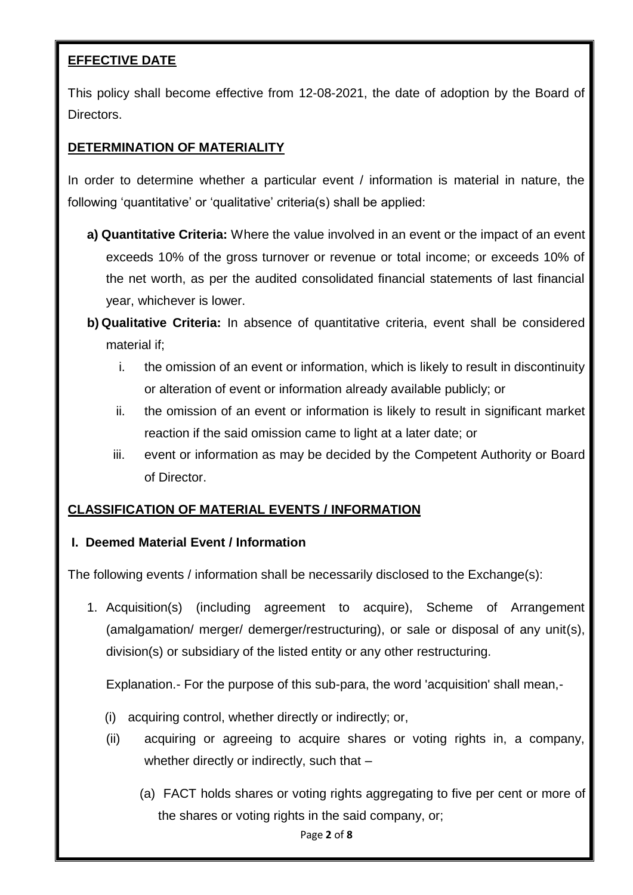## **EFFECTIVE DATE**

This policy shall become effective from 12-08-2021, the date of adoption by the Board of Directors.

### **DETERMINATION OF MATERIALITY**

In order to determine whether a particular event / information is material in nature, the following 'quantitative' or 'qualitative' criteria(s) shall be applied:

- **a) Quantitative Criteria:** Where the value involved in an event or the impact of an event exceeds 10% of the gross turnover or revenue or total income; or exceeds 10% of the net worth, as per the audited consolidated financial statements of last financial year, whichever is lower.
- **b) Qualitative Criteria:** In absence of quantitative criteria, event shall be considered material if;
	- i. the omission of an event or information, which is likely to result in discontinuity or alteration of event or information already available publicly; or
	- ii. the omission of an event or information is likely to result in significant market reaction if the said omission came to light at a later date; or
	- iii. event or information as may be decided by the Competent Authority or Board of Director.

#### **CLASSIFICATION OF MATERIAL EVENTS / INFORMATION**

#### **I. Deemed Material Event / Information**

The following events / information shall be necessarily disclosed to the Exchange(s):

1. Acquisition(s) (including agreement to acquire), Scheme of Arrangement (amalgamation/ merger/ demerger/restructuring), or sale or disposal of any unit(s), division(s) or subsidiary of the listed entity or any other restructuring.

Explanation.- For the purpose of this sub-para, the word 'acquisition' shall mean,-

- (i) acquiring control, whether directly or indirectly; or,
- (ii) acquiring or agreeing to acquire shares or voting rights in, a company, whether directly or indirectly, such that -
	- (a) FACT holds shares or voting rights aggregating to five per cent or more of the shares or voting rights in the said company, or;

Page **2** of **8**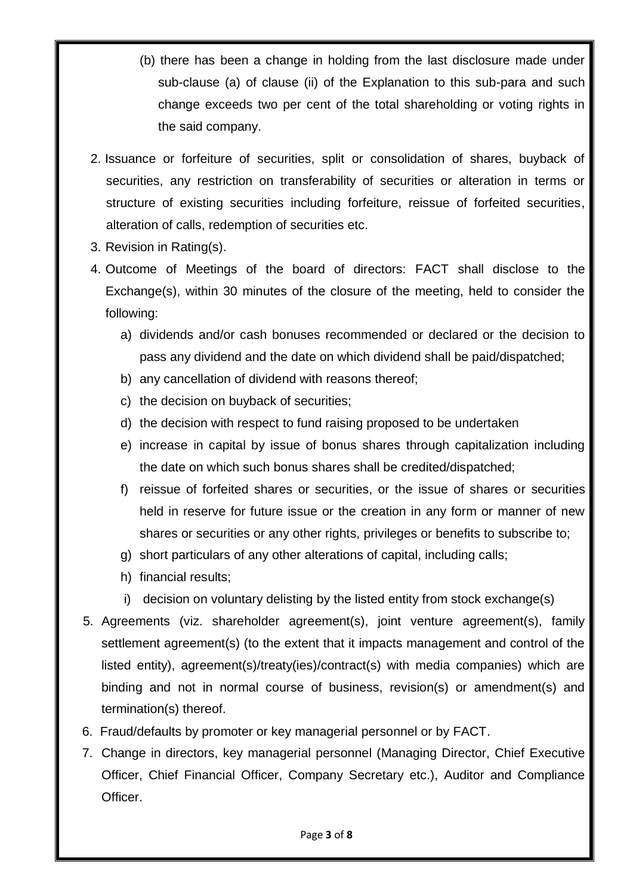- (b) there has been a change in holding from the last disclosure made under sub-clause (a) of clause (ii) of the Explanation to this sub-para and such change exceeds two per cent of the total shareholding or voting rights in the said company.
- 2. Issuance or forfeiture of securities, split or consolidation of shares, buyback of securities, any restriction on transferability of securities or alteration in terms or structure of existing securities including forfeiture, reissue of forfeited securities, alteration of calls, redemption of securities etc.
- 3. Revision in Rating(s).
- 4. Outcome of Meetings of the board of directors: FACT shall disclose to the Exchange(s), within 30 minutes of the closure of the meeting, held to consider the following:
	- a) dividends and/or cash bonuses recommended or declared or the decision to pass any dividend and the date on which dividend shall be paid/dispatched;
	- b) any cancellation of dividend with reasons thereof;
	- c) the decision on buyback of securities;
	- d) the decision with respect to fund raising proposed to be undertaken
	- e) increase in capital by issue of bonus shares through capitalization including the date on which such bonus shares shall be credited/dispatched;
	- f) reissue of forfeited shares or securities, or the issue of shares or securities held in reserve for future issue or the creation in any form or manner of new shares or securities or any other rights, privileges or benefits to subscribe to;
	- g) short particulars of any other alterations of capital, including calls;
	- h) financial results;
	- i) decision on voluntary delisting by the listed entity from stock exchange(s)
- 5. Agreements (viz. shareholder agreement(s), joint venture agreement(s), family settlement agreement(s) (to the extent that it impacts management and control of the listed entity), agreement(s)/treaty(ies)/contract(s) with media companies) which are binding and not in normal course of business, revision(s) or amendment(s) and termination(s) thereof.
- 6. Fraud/defaults by promoter or key managerial personnel or by FACT.
- 7. Change in directors, key managerial personnel (Managing Director, Chief Executive Officer, Chief Financial Officer, Company Secretary etc.), Auditor and Compliance Officer.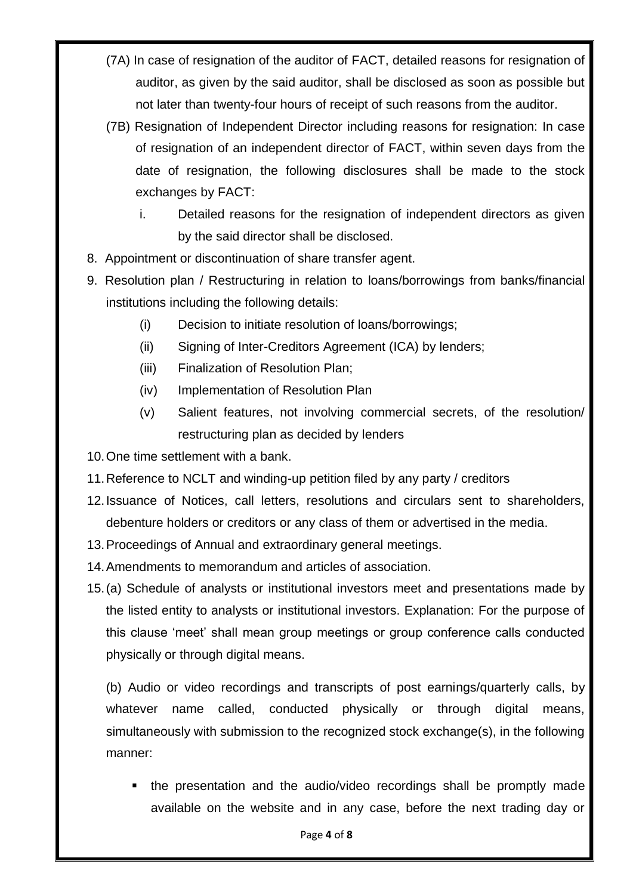- (7A) In case of resignation of the auditor of FACT, detailed reasons for resignation of auditor, as given by the said auditor, shall be disclosed as soon as possible but not later than twenty-four hours of receipt of such reasons from the auditor.
- (7B) Resignation of Independent Director including reasons for resignation: In case of resignation of an independent director of FACT, within seven days from the date of resignation, the following disclosures shall be made to the stock exchanges by FACT:
	- i. Detailed reasons for the resignation of independent directors as given by the said director shall be disclosed.
- 8. Appointment or discontinuation of share transfer agent.
- 9. Resolution plan / Restructuring in relation to loans/borrowings from banks/financial institutions including the following details:
	- (i) Decision to initiate resolution of loans/borrowings;
	- (ii) Signing of Inter-Creditors Agreement (ICA) by lenders;
	- (iii) Finalization of Resolution Plan;
	- (iv) Implementation of Resolution Plan
	- (v) Salient features, not involving commercial secrets, of the resolution/ restructuring plan as decided by lenders

10.One time settlement with a bank.

- 11.Reference to NCLT and winding-up petition filed by any party / creditors
- 12.Issuance of Notices, call letters, resolutions and circulars sent to shareholders, debenture holders or creditors or any class of them or advertised in the media.
- 13.Proceedings of Annual and extraordinary general meetings.
- 14.Amendments to memorandum and articles of association.
- 15.(a) Schedule of analysts or institutional investors meet and presentations made by the listed entity to analysts or institutional investors. Explanation: For the purpose of this clause "meet" shall mean group meetings or group conference calls conducted physically or through digital means.

(b) Audio or video recordings and transcripts of post earnings/quarterly calls, by whatever name called, conducted physically or through digital means, simultaneously with submission to the recognized stock exchange(s), in the following manner:

 the presentation and the audio/video recordings shall be promptly made available on the website and in any case, before the next trading day or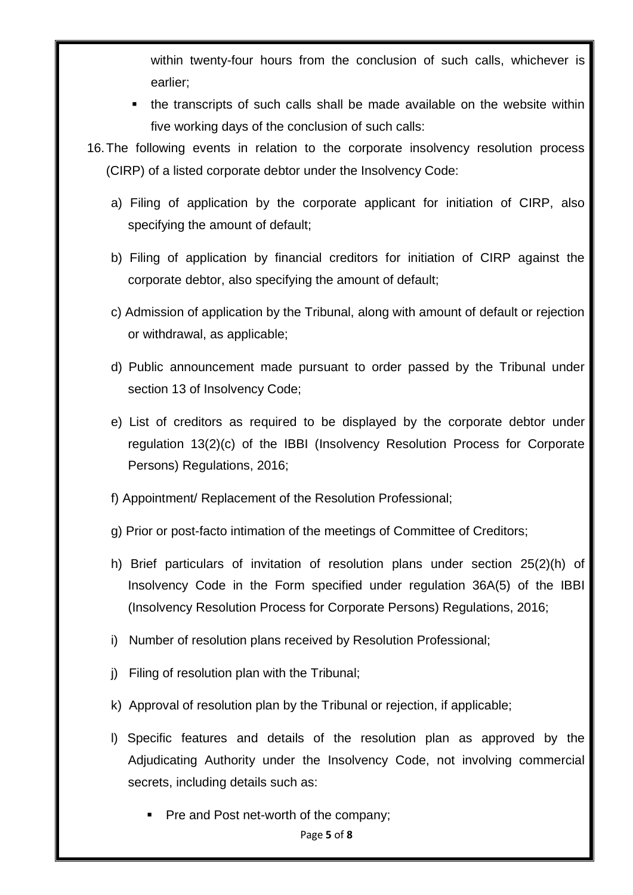within twenty-four hours from the conclusion of such calls, whichever is earlier;

- the transcripts of such calls shall be made available on the website within five working days of the conclusion of such calls:
- 16.The following events in relation to the corporate insolvency resolution process (CIRP) of a listed corporate debtor under the Insolvency Code:
	- a) Filing of application by the corporate applicant for initiation of CIRP, also specifying the amount of default;
	- b) Filing of application by financial creditors for initiation of CIRP against the corporate debtor, also specifying the amount of default;
	- c) Admission of application by the Tribunal, along with amount of default or rejection or withdrawal, as applicable;
	- d) Public announcement made pursuant to order passed by the Tribunal under section 13 of Insolvency Code;
	- e) List of creditors as required to be displayed by the corporate debtor under regulation 13(2)(c) of the IBBI (Insolvency Resolution Process for Corporate Persons) Regulations, 2016;
	- f) Appointment/ Replacement of the Resolution Professional;
	- g) Prior or post-facto intimation of the meetings of Committee of Creditors;
	- h) Brief particulars of invitation of resolution plans under section 25(2)(h) of Insolvency Code in the Form specified under regulation 36A(5) of the IBBI (Insolvency Resolution Process for Corporate Persons) Regulations, 2016;
	- i) Number of resolution plans received by Resolution Professional;
	- j) Filing of resolution plan with the Tribunal;
	- k) Approval of resolution plan by the Tribunal or rejection, if applicable;
	- l) Specific features and details of the resolution plan as approved by the Adjudicating Authority under the Insolvency Code, not involving commercial secrets, including details such as:
		- Pre and Post net-worth of the company;

Page **5** of **8**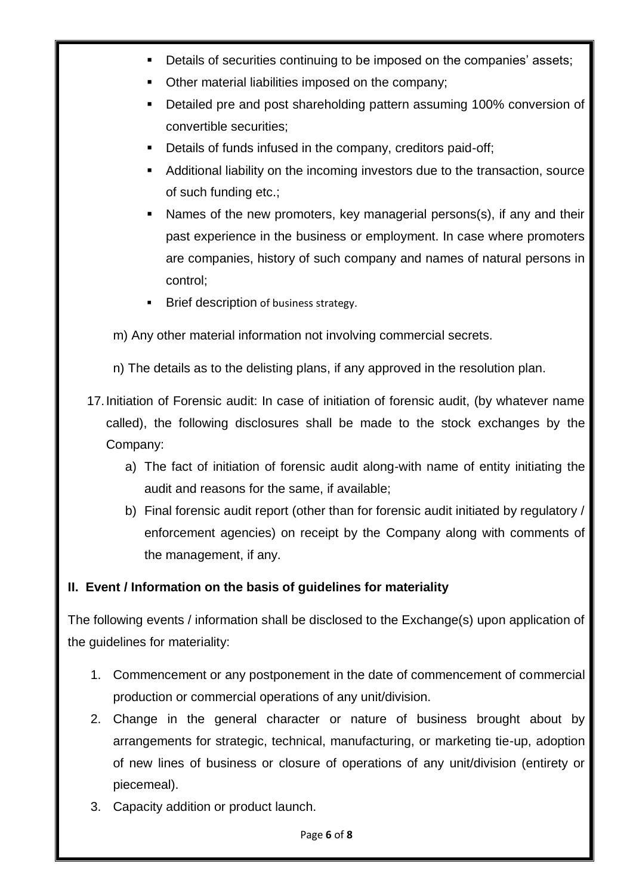- Details of securities continuing to be imposed on the companies' assets;
- Other material liabilities imposed on the company;
- Detailed pre and post shareholding pattern assuming 100% conversion of convertible securities;
- Details of funds infused in the company, creditors paid-off;
- Additional liability on the incoming investors due to the transaction, source of such funding etc.;
- Names of the new promoters, key managerial persons(s), if any and their past experience in the business or employment. In case where promoters are companies, history of such company and names of natural persons in control;
- **Brief description of business strategy.**
- m) Any other material information not involving commercial secrets.

n) The details as to the delisting plans, if any approved in the resolution plan.

- 17.Initiation of Forensic audit: In case of initiation of forensic audit, (by whatever name called), the following disclosures shall be made to the stock exchanges by the Company:
	- a) The fact of initiation of forensic audit along-with name of entity initiating the audit and reasons for the same, if available;
	- b) Final forensic audit report (other than for forensic audit initiated by regulatory / enforcement agencies) on receipt by the Company along with comments of the management, if any.

#### **II. Event / Information on the basis of guidelines for materiality**

The following events / information shall be disclosed to the Exchange(s) upon application of the guidelines for materiality:

- 1. Commencement or any postponement in the date of commencement of commercial production or commercial operations of any unit/division.
- 2. Change in the general character or nature of business brought about by arrangements for strategic, technical, manufacturing, or marketing tie-up, adoption of new lines of business or closure of operations of any unit/division (entirety or piecemeal).
- 3. Capacity addition or product launch.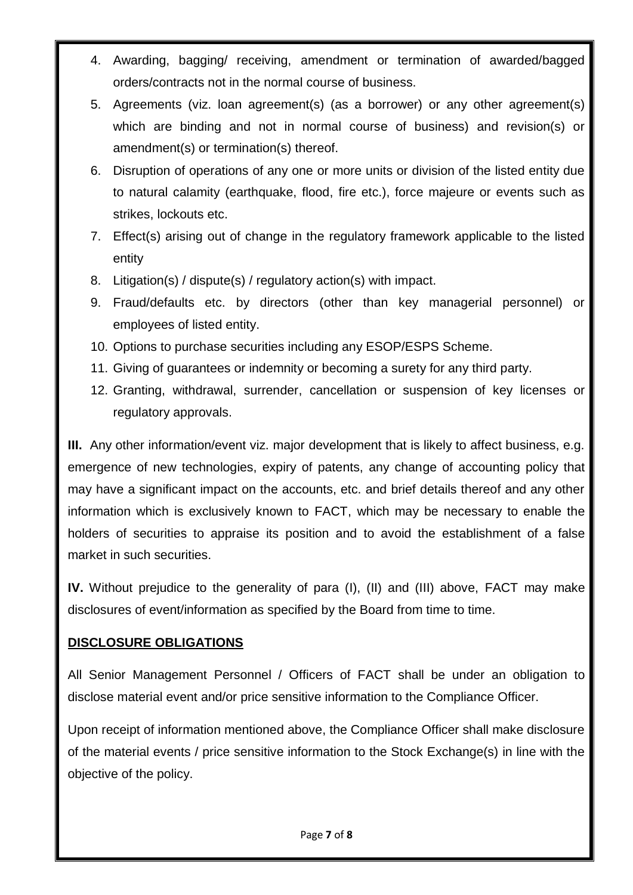- 4. Awarding, bagging/ receiving, amendment or termination of awarded/bagged orders/contracts not in the normal course of business.
- 5. Agreements (viz. loan agreement(s) (as a borrower) or any other agreement(s) which are binding and not in normal course of business) and revision(s) or amendment(s) or termination(s) thereof.
- 6. Disruption of operations of any one or more units or division of the listed entity due to natural calamity (earthquake, flood, fire etc.), force majeure or events such as strikes, lockouts etc.
- 7. Effect(s) arising out of change in the regulatory framework applicable to the listed entity
- 8. Litigation(s) / dispute(s) / regulatory action(s) with impact.
- 9. Fraud/defaults etc. by directors (other than key managerial personnel) or employees of listed entity.
- 10. Options to purchase securities including any ESOP/ESPS Scheme.
- 11. Giving of guarantees or indemnity or becoming a surety for any third party.
- 12. Granting, withdrawal, surrender, cancellation or suspension of key licenses or regulatory approvals.

**III.** Any other information/event viz. major development that is likely to affect business, e.g. emergence of new technologies, expiry of patents, any change of accounting policy that may have a significant impact on the accounts, etc. and brief details thereof and any other information which is exclusively known to FACT, which may be necessary to enable the holders of securities to appraise its position and to avoid the establishment of a false market in such securities.

**IV.** Without prejudice to the generality of para (I), (II) and (III) above, FACT may make disclosures of event/information as specified by the Board from time to time.

#### **DISCLOSURE OBLIGATIONS**

All Senior Management Personnel / Officers of FACT shall be under an obligation to disclose material event and/or price sensitive information to the Compliance Officer.

Upon receipt of information mentioned above, the Compliance Officer shall make disclosure of the material events / price sensitive information to the Stock Exchange(s) in line with the objective of the policy.